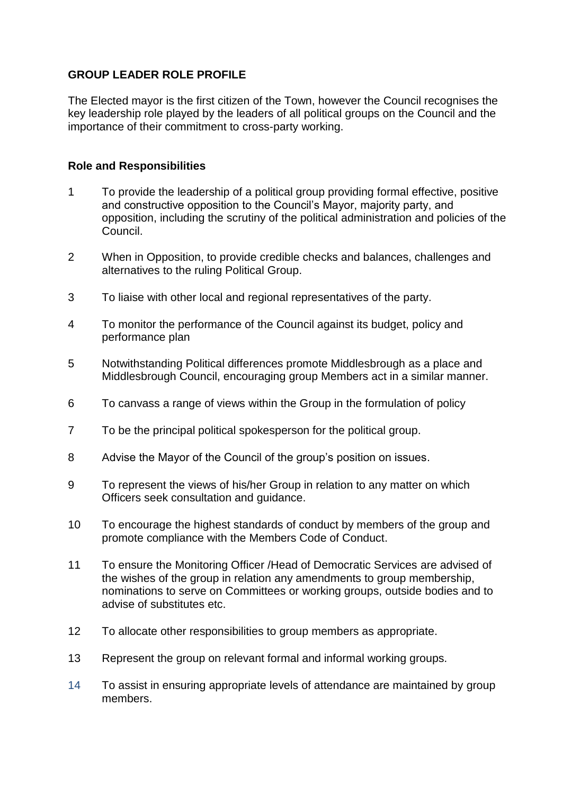## **GROUP LEADER ROLE PROFILE**

The Elected mayor is the first citizen of the Town, however the Council recognises the key leadership role played by the leaders of all political groups on the Council and the importance of their commitment to cross-party working.

## **Role and Responsibilities**

- 1 To provide the leadership of a political group providing formal effective, positive and constructive opposition to the Council's Mayor, majority party, and opposition, including the scrutiny of the political administration and policies of the Council.
- 2 When in Opposition, to provide credible checks and balances, challenges and alternatives to the ruling Political Group.
- 3 To liaise with other local and regional representatives of the party.
- 4 To monitor the performance of the Council against its budget, policy and performance plan
- 5 Notwithstanding Political differences promote Middlesbrough as a place and Middlesbrough Council, encouraging group Members act in a similar manner.
- 6 To canvass a range of views within the Group in the formulation of policy
- 7 To be the principal political spokesperson for the political group.
- 8 Advise the Mayor of the Council of the group's position on issues.
- 9 To represent the views of his/her Group in relation to any matter on which Officers seek consultation and guidance.
- 10 To encourage the highest standards of conduct by members of the group and promote compliance with the Members Code of Conduct.
- 11 To ensure the Monitoring Officer /Head of Democratic Services are advised of the wishes of the group in relation any amendments to group membership, nominations to serve on Committees or working groups, outside bodies and to advise of substitutes etc.
- 12 To allocate other responsibilities to group members as appropriate.
- 13 Represent the group on relevant formal and informal working groups.
- 14 To assist in ensuring appropriate levels of attendance are maintained by group members.